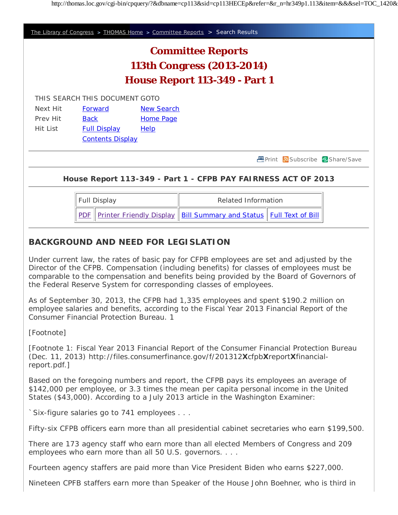

Nineteen CPFB staffers earn more than Speaker of the House John Boehner, who is third in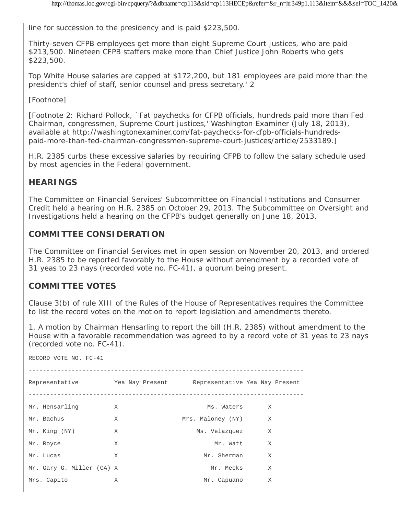line for succession to the presidency and is paid \$223,500.

Thirty-seven CFPB employees get more than eight Supreme Court justices, who are paid \$213,500. Nineteen CFPB staffers make more than Chief Justice John Roberts who gets \$223,500.

Top White House salaries are capped at \$172,200, but 181 employees are paid more than the president's chief of staff, senior counsel and press secretary.' 2

## [Footnote]

[*Footnote 2:* Richard Pollock, `Fat paychecks for CFPB officials, hundreds paid more than Fed Chairman, congressmen, Supreme Court justices,' Washington Examiner (July 18, 2013), available at http://washingtonexaminer.com/fat-paychecks-for-cfpb-officials-hundredspaid-more-than-fed-chairman-congressmen-supreme-court-justices/article/2533189.]

H.R. 2385 curbs these excessive salaries by requiring CFPB to follow the salary schedule used by most agencies in the Federal government.

## **HEARINGS**

The Committee on Financial Services' Subcommittee on Financial Institutions and Consumer Credit held a hearing on H.R. 2385 on October 29, 2013. The Subcommittee on Oversight and Investigations held a hearing on the CFPB's budget generally on June 18, 2013.

## **COMMITTEE CONSIDERATION**

The Committee on Financial Services met in open session on November 20, 2013, and ordered H.R. 2385 to be reported favorably to the House without amendment by a recorded vote of 31 yeas to 23 nays (recorded vote no. FC-41), a quorum being present.

## **COMMITTEE VOTES**

Clause 3(b) of rule XIII of the Rules of the House of Representatives requires the Committee to list the record votes on the motion to report legislation and amendments thereto.

1. A motion by Chairman Hensarling to report the bill (H.R. 2385) without amendment to the House with a favorable recommendation was agreed to by a record vote of 31 yeas to 23 nays (recorded vote no. FC-41).

| RECORD VOTE NO. FC-41                                         |   |                   |   |  |  |
|---------------------------------------------------------------|---|-------------------|---|--|--|
| Representative The Nay Present Representative Yea Nay Present |   |                   |   |  |  |
| Mr. Hensarling                                                | X | Ms. Waters        | X |  |  |
| Mr. Bachus                                                    | X | Mrs. Maloney (NY) | X |  |  |
| Mr. King (NY)                                                 | X | Ms. Velazquez     | X |  |  |
| Mr. Royce                                                     | X | Mr. Watt          | X |  |  |
| Mr. Lucas                                                     | X | Mr. Sherman       | X |  |  |
| Mr. Gary G. Miller (CA) X                                     |   | Mr. Meeks         | X |  |  |
| Mrs. Capito                                                   | X | Mr. Capuano       | X |  |  |